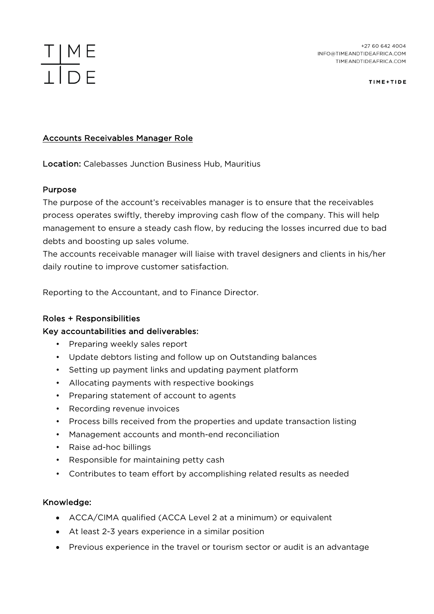## $\frac{T \mid M}{\perp \mid D}$ E

TIME+TIDE

## Accounts Receivables Manager Role

Location: Calebasses Junction Business Hub, Mauritius

### Purpose

The purpose of the account's receivables manager is to ensure that the receivables process operates swiftly, thereby improving cash flow of the company. This will help management to ensure a steady cash flow, by reducing the losses incurred due to bad debts and boosting up sales volume.

The accounts receivable manager will liaise with travel designers and clients in his/her daily routine to improve customer satisfaction.

Reporting to the Accountant, and to Finance Director.

### Roles + Responsibilities

### Key accountabilities and deliverables:

- Preparing weekly sales report
- Update debtors listing and follow up on Outstanding balances
- Setting up payment links and updating payment platform
- Allocating payments with respective bookings
- Preparing statement of account to agents
- Recording revenue invoices
- Process bills received from the properties and update transaction listing
- Management accounts and month-end reconciliation
- Raise ad-hoc billings
- Responsible for maintaining petty cash
- Contributes to team effort by accomplishing related results as needed

### Knowledge:

- ACCA/CIMA qualified (ACCA Level 2 at a minimum) or equivalent
- At least 2-3 years experience in a similar position
- Previous experience in the travel or tourism sector or audit is an advantage